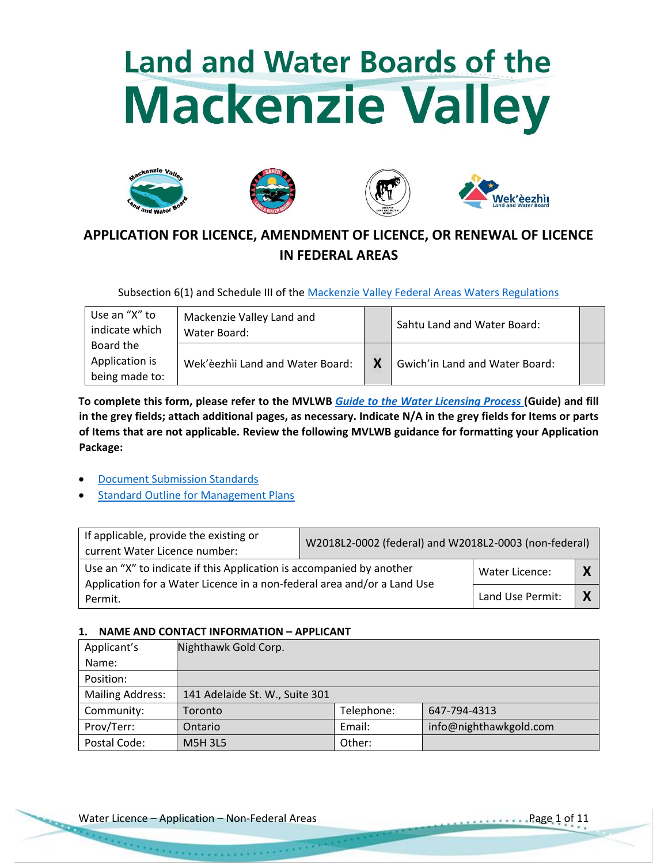# Land and Water Boards of the<br>Mackenzie Valley









# **APPLICATION FOR LICENCE, AMENDMENT OF LICENCE, OR RENEWAL OF LICENCE IN FEDERAL AREAS**

Subsection 6(1) and Schedule III of the [Mackenzie Valley Federal Areas Waters Regulations](http://laws-lois.justice.gc.ca/PDF/SOR-93-303.pdf)

| Use an "X" to<br>indicate which               | Mackenzie Valley Land and<br>Water Board: |   | Sahtu Land and Water Board:    |  |
|-----------------------------------------------|-------------------------------------------|---|--------------------------------|--|
| Board the<br>Application is<br>being made to: | Wek'èezhìi Land and Water Board:          | Χ | Gwich'in Land and Water Board: |  |

**To complete this form, please refer to the MVLWB** *[Guide to the Water Licensing Process](https://wlwb.ca/sites/default/files/lwb_guide_to_the_water_licensing_process_-_final_-_sep_16_20.pdf)* **(Guide) and fill in the grey fields; attach additional pages, as necessary. Indicate N/A in the grey fields for Items or parts of Items that are not applicable. Review the following MVLWB guidance for formatting your Application Package:**

- [Document Submission Standards](https://mvlwb.com/sites/default/files/mvlwb_document_submission_standards_-_jan_2019.pdf)
- [Standard Outline for Management Plans](https://glwb.com/sites/default/files/documents/wg/Standard%20Outline%20for%20Managment%20Plans%20-%20October%202013.pdf)

| If applicable, provide the existing or                                                                                                          | W2018L2-0002 (federal) and W2018L2-0003 (non-federal) |          |  |  |
|-------------------------------------------------------------------------------------------------------------------------------------------------|-------------------------------------------------------|----------|--|--|
| current Water Licence number:                                                                                                                   |                                                       |          |  |  |
| Use an "X" to indicate if this Application is accompanied by another<br>Application for a Water Licence in a non-federal area and/or a Land Use | <b>Water Licence:</b>                                 |          |  |  |
| Permit.                                                                                                                                         | Land Use Permit:                                      | <b>V</b> |  |  |

# **1. NAME AND CONTACT INFORMATION – APPLICANT**

| Applicant's             | Nighthawk Gold Corp.           |            |                        |
|-------------------------|--------------------------------|------------|------------------------|
| Name:                   |                                |            |                        |
| Position:               |                                |            |                        |
| <b>Mailing Address:</b> | 141 Adelaide St. W., Suite 301 |            |                        |
| Community:              | Toronto                        | Telephone: | 647-794-4313           |
| Prov/Terr:              | Ontario                        | Email:     | info@nighthawkgold.com |
| Postal Code:            | <b>M5H 3L5</b>                 | Other:     |                        |

**Kennessen**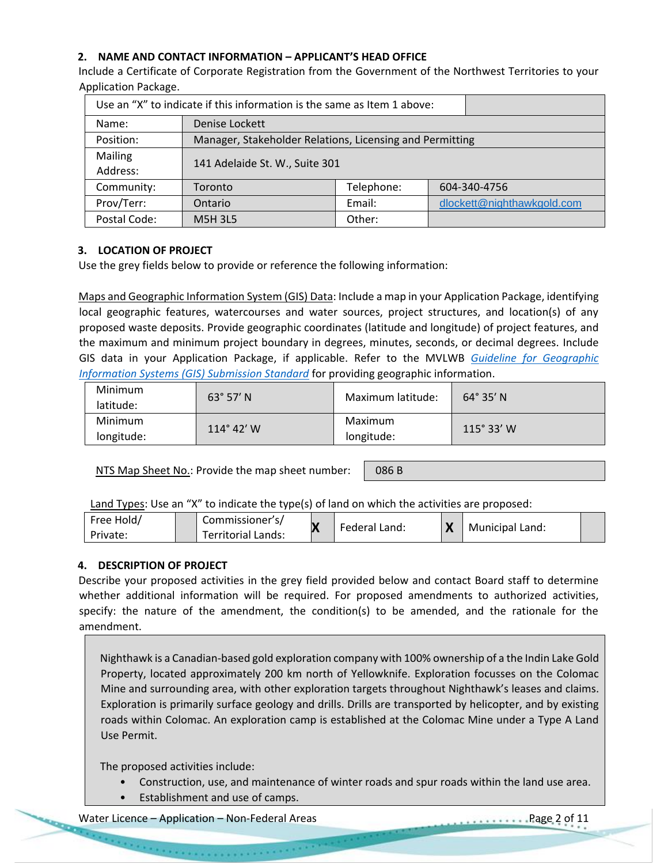# **2. NAME AND CONTACT INFORMATION – APPLICANT'S HEAD OFFICE**

Include a Certificate of Corporate Registration from the Government of the Northwest Territories to your Application Package.

| Use an "X" to indicate if this information is the same as Item 1 above: |                                                          |            |                            |  |  |
|-------------------------------------------------------------------------|----------------------------------------------------------|------------|----------------------------|--|--|
| Name:                                                                   | Denise Lockett                                           |            |                            |  |  |
| Position:                                                               | Manager, Stakeholder Relations, Licensing and Permitting |            |                            |  |  |
| Mailing                                                                 |                                                          |            |                            |  |  |
| Address:                                                                | 141 Adelaide St. W., Suite 301                           |            |                            |  |  |
| Community:                                                              | Toronto                                                  | Telephone: | 604-340-4756               |  |  |
| Prov/Terr:                                                              | Ontario                                                  | Email:     | dlockett@nighthawkgold.com |  |  |
| Postal Code:                                                            | <b>M5H3L5</b>                                            | Other:     |                            |  |  |

# **3. LOCATION OF PROJECT**

Use the grey fields below to provide or reference the following information:

Maps and Geographic Information System (GIS) Data: Include a map in your Application Package, identifying local geographic features, watercourses and water sources, project structures, and location(s) of any proposed waste deposits. Provide geographic coordinates (latitude and longitude) of project features, and the maximum and minimum project boundary in degrees, minutes, seconds, or decimal degrees. Include GIS data in your Application Package, if applicable. Refer to the MVLWB *[Guideline for Geographic](https://www.enr.gov.nt.ca/sites/enr/files/guidelines_for_spill_contingency_planning_2007.pdf)  [Information Systems \(GIS\) Submission Standard](https://www.enr.gov.nt.ca/sites/enr/files/guidelines_for_spill_contingency_planning_2007.pdf)* for providing geographic information.

| Minimum<br>latitude:  | $63^{\circ} 57' N$  | Maximum latitude:     | $64^{\circ}$ 35' N |
|-----------------------|---------------------|-----------------------|--------------------|
| Minimum<br>longitude: | $114^{\circ} 42' W$ | Maximum<br>longitude: | $115^\circ 33' W$  |

NTS Map Sheet No.: Provide the map sheet number:  $\vert$  086 B

Land Types: Use an "X" to indicate the type(s) of land on which the activities are proposed:

| $\mathbf{v}$<br>$\mathbf{v}$<br>Federal Land:<br>Municipal Land:<br>Private:<br>Territorial Lands: | Free Hold/ |  | Commissioner's/ |  |  |  |  |  |
|----------------------------------------------------------------------------------------------------|------------|--|-----------------|--|--|--|--|--|
|----------------------------------------------------------------------------------------------------|------------|--|-----------------|--|--|--|--|--|

# **4. DESCRIPTION OF PROJECT**

Describe your proposed activities in the grey field provided below and contact Board staff to determine whether additional information will be required. For proposed amendments to authorized activities, specify: the nature of the amendment, the condition(s) to be amended, and the rationale for the amendment.

Nighthawk is a Canadian-based gold exploration company with 100% ownership of a the Indin Lake Gold Property, located approximately 200 km north of Yellowknife. Exploration focusses on the Colomac Mine and surrounding area, with other exploration targets throughout Nighthawk's leases and claims. Exploration is primarily surface geology and drills. Drills are transported by helicopter, and by existing roads within Colomac. An exploration camp is established at the Colomac Mine under a Type A Land Use Permit.

The proposed activities include:

والمتحدث والمحاجة والمتحد

- Construction, use, and maintenance of winter roads and spur roads within the land use area.
- Establishment and use of camps.

Water Licence – Application – Non-Federal Areas Page 2 of 11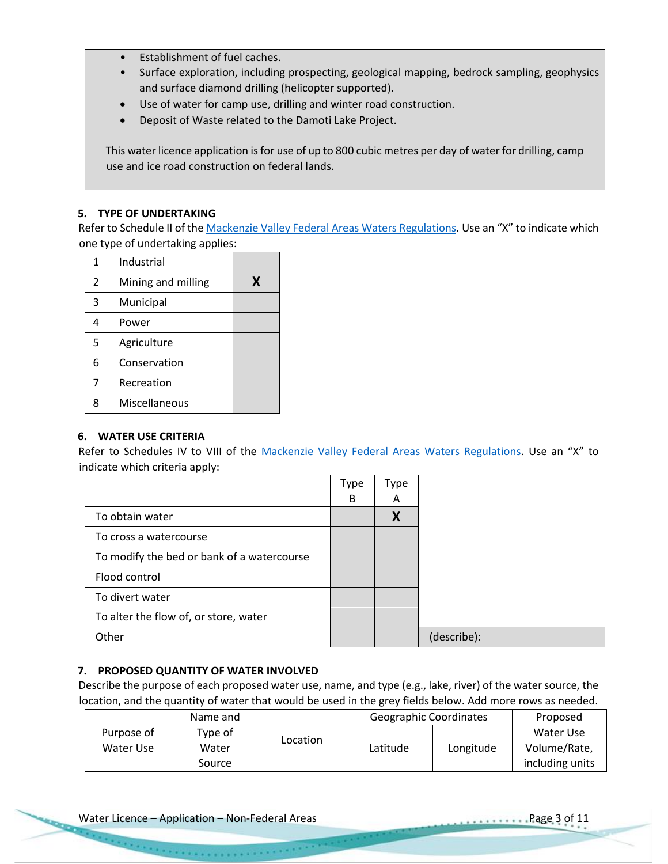- Establishment of fuel caches.
- Surface exploration, including prospecting, geological mapping, bedrock sampling, geophysics and surface diamond drilling (helicopter supported).
- Use of water for camp use, drilling and winter road construction.
- Deposit of Waste related to the Damoti Lake Project.

This water licence application is for use of up to 800 cubic metres per day of water for drilling, camp use and ice road construction on federal lands.

#### **5. TYPE OF UNDERTAKING**

Refer to Schedule II of the [Mackenzie Valley Federal Areas Waters Regulations.](http://laws-lois.justice.gc.ca/PDF/SOR-93-303.pdf) Use an "X" to indicate which one type of undertaking applies:

| 1             | Industrial         |   |
|---------------|--------------------|---|
| $\mathcal{P}$ | Mining and milling | X |
| 3             | Municipal          |   |
| 4             | Power              |   |
| 5             | Agriculture        |   |
| 6             | Conservation       |   |
| 7             | Recreation         |   |
| 8             | Miscellaneous      |   |

# **6. WATER USE CRITERIA**

Refer to Schedules IV to VIII of the [Mackenzie Valley Federal Areas Waters Regulations.](https://mvlwb.com/sites/default/files/sor-93-303_1_0.pdf) Use an "X" to indicate which criteria apply:

|                                            | <b>Type</b> | Type |
|--------------------------------------------|-------------|------|
|                                            | B           | A    |
| To obtain water                            |             | Χ    |
| To cross a watercourse                     |             |      |
| To modify the bed or bank of a watercourse |             |      |
| Flood control                              |             |      |
| To divert water                            |             |      |
| To alter the flow of, or store, water      |             |      |
| Other                                      |             |      |

# **7. PROPOSED QUANTITY OF WATER INVOLVED**

Describe the purpose of each proposed water use, name, and type (e.g., lake, river) of the water source, the location, and the quantity of water that would be used in the grey fields below. Add more rows as needed.

|            | Name and |          | <b>Geographic Coordinates</b> |           | Proposed        |
|------------|----------|----------|-------------------------------|-----------|-----------------|
| Purpose of | Type of  | Location |                               |           | Water Use       |
| Water Use  | Water    |          | Latitude                      | Longitude | Volume/Rate,    |
|            | Source   |          |                               |           | including units |

<u>errennen ernes</u>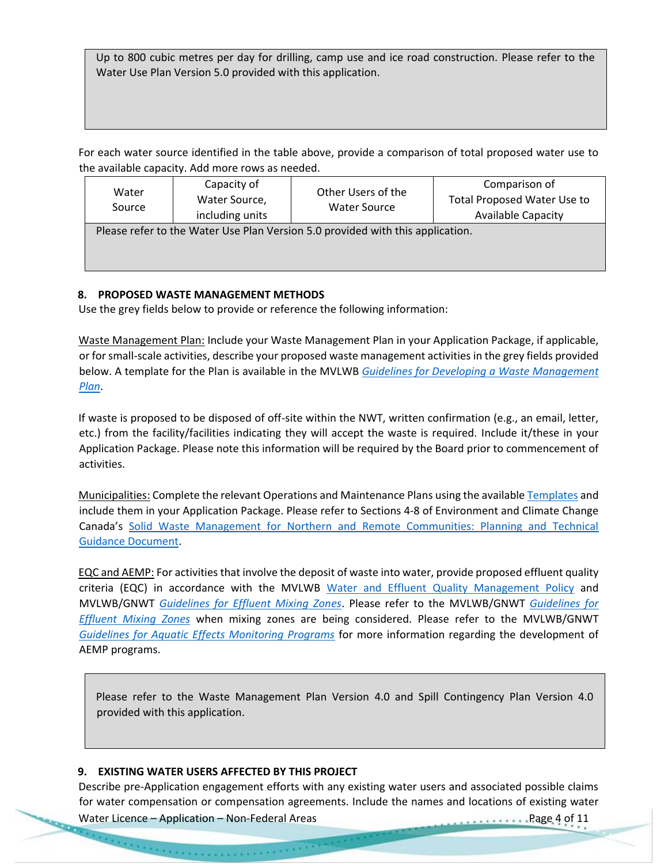Up to 800 cubic metres per day for drilling, camp use and ice road construction. Please refer to the Water Use Plan Version 5.0 provided with this application.

For each water source identified in the table above, provide a comparison of total proposed water use to the available capacity. Add more rows as needed.

| Water<br>Source                                                                | Capacity of<br>Water Source, | Other Users of the | Comparison of                      |  |  |  |
|--------------------------------------------------------------------------------|------------------------------|--------------------|------------------------------------|--|--|--|
|                                                                                |                              | Water Source       | <b>Total Proposed Water Use to</b> |  |  |  |
|                                                                                | including units              |                    | <b>Available Capacity</b>          |  |  |  |
| Please refer to the Water Use Plan Version 5.0 provided with this application. |                              |                    |                                    |  |  |  |
|                                                                                |                              |                    |                                    |  |  |  |
|                                                                                |                              |                    |                                    |  |  |  |

# **8. PROPOSED WASTE MANAGEMENT METHODS**

Use the grey fields below to provide or reference the following information:

Waste Management Plan: Include your Waste Management Plan in your Application Package, if applicable, or for small-scale activities, describe your proposed waste management activities in the grey fields provided below. A template for the Plan is available in the MVLWB *[Guidelines for Developing a Waste Management](https://mvlwb.com/sites/default/files/documents/MVLWB-Guidelines-for-Developing-a-Waste-Management-Plan-Mar-31_11-JCWG.pdf)  [Plan](https://mvlwb.com/sites/default/files/documents/MVLWB-Guidelines-for-Developing-a-Waste-Management-Plan-Mar-31_11-JCWG.pdf)*.

If waste is proposed to be disposed of off-site within the NWT, written confirmation (e.g., an email, letter, etc.) from the facility/facilities indicating they will accept the waste is required. Include it/these in your Application Package. Please note this information will be required by the Board prior to commencement of activities.

Municipalities: Complete the relevant Operations and Maintenance Plans using the available [Templates](https://mvlwb.com/mvlwb/apply-permit-licence) and include them in your Application Package. Please refer to Sections 4-8 of Environment and Climate Change Canada's [Solid Waste Management for Northern and Remote Communities: Planning and Technical](https://mvlwb.com/sites/default/files/en14-263-2016-eng.pdf)  [Guidance Document.](https://mvlwb.com/sites/default/files/en14-263-2016-eng.pdf)

EQC and AEMP: For activities that involve the deposit of waste into water, provide proposed effluent quality criteria (EQC) in accordance with the MVLWB [Water and Effluent Quality Management Policy](https://mvlwb.com/sites/default/files/documents/MVLWB-Water-and-Effluent-Quality-Management-Policy-Mar-31_11-JCWG.pdf) and MVLWB/GNWT *[Guidelines for Effluent Mixing Zones](https://mvlwb.com/sites/default/files/images/Guidelines/Guidelines%20for%20Effluent%20Mixing%20Zones%20-%20Final%20Draft%20-%20June%202017_EDIT9.pdf)*. Please refer to the MVLWB/GNWT *[Guidelines for](https://mvlwb.com/sites/default/files/images/Guidelines/Guidelines%20for%20Effluent%20Mixing%20Zones%20-%20Final%20Draft%20-%20June%202017_EDIT9.pdf)  [Effluent Mixing Zones](https://mvlwb.com/sites/default/files/images/Guidelines/Guidelines%20for%20Effluent%20Mixing%20Zones%20-%20Final%20Draft%20-%20June%202017_EDIT9.pdf)* when mixing zones are being considered. Please refer to the MVLWB/GNWT *[Guidelines for Aquatic Effects Monitoring Programs](https://wlwb.ca/sites/default/files/aemp_guidelines_-_mar_5_19.pdf)* for more information regarding the development of AEMP programs.

Please refer to the Waste Management Plan Version 4.0 and Spill Contingency Plan Version 4.0 provided with this application.

# **9. EXISTING WATER USERS AFFECTED BY THIS PROJECT**

e e especiento

Water Licence – Application – Non-Federal Areas Page 4 of 11 Describe pre-Application engagement efforts with any existing water users and associated possible claims for water compensation or compensation agreements. Include the names and locations of existing water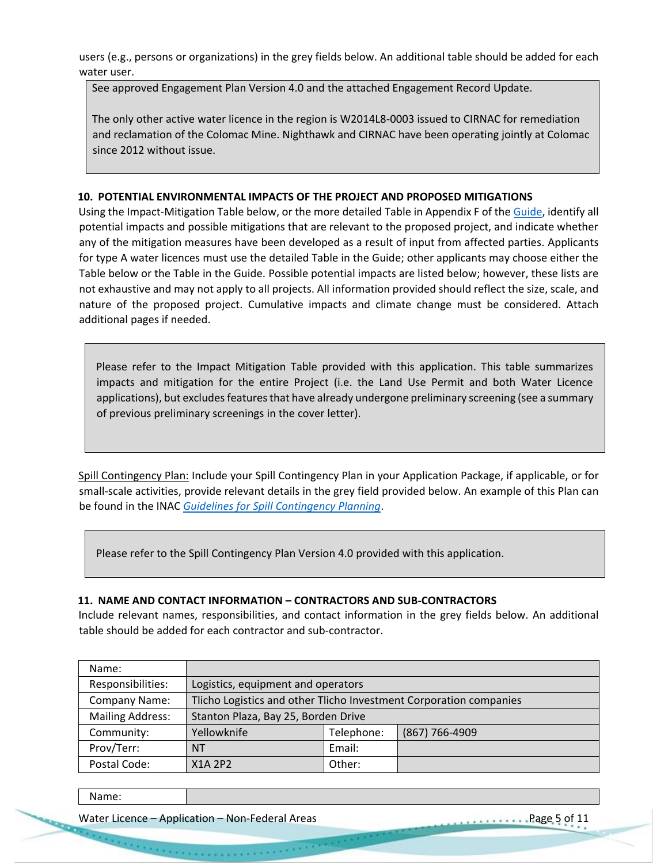users (e.g., persons or organizations) in the grey fields below. An additional table should be added for each water user.

See approved Engagement Plan Version 4.0 and the attached Engagement Record Update.

The only other active water licence in the region is W2014L8-0003 issued to CIRNAC for remediation and reclamation of the Colomac Mine. Nighthawk and CIRNAC have been operating jointly at Colomac since 2012 without issue.

#### **10. POTENTIAL ENVIRONMENTAL IMPACTS OF THE PROJECT AND PROPOSED MITIGATIONS**

Using the Impact-Mitigation Table below, or the more detailed Table in Appendix F of th[e Guide,](https://wlwb.ca/sites/default/files/lwb_guide_to_the_water_licensing_process_-_final_-_sep_16_20.pdf) identify all potential impacts and possible mitigations that are relevant to the proposed project, and indicate whether any of the mitigation measures have been developed as a result of input from affected parties. Applicants for type A water licences must use the detailed Table in the Guide; other applicants may choose either the Table below or the Table in the Guide. Possible potential impacts are listed below; however, these lists are not exhaustive and may not apply to all projects. All information provided should reflect the size, scale, and nature of the proposed project. Cumulative impacts and climate change must be considered. Attach additional pages if needed.

Please refer to the Impact Mitigation Table provided with this application. This table summarizes impacts and mitigation for the entire Project (i.e. the Land Use Permit and both Water Licence applications), but excludes features that have already undergone preliminary screening (see a summary of previous preliminary screenings in the cover letter).

Spill Contingency Plan: Include your Spill Contingency Plan in your Application Package, if applicable, or for small-scale activities, provide relevant details in the grey field provided below. An example of this Plan can be found in the INAC *[Guidelines for Spill Contingency Planning](https://www.enr.gov.nt.ca/sites/enr/files/guidelines_for_spill_contingency_planning_2007.pdf)*.

Please refer to the Spill Contingency Plan Version 4.0 provided with this application.

#### **11. NAME AND CONTACT INFORMATION – CONTRACTORS AND SUB-CONTRACTORS**

Include relevant names, responsibilities, and contact information in the grey fields below. An additional table should be added for each contractor and sub-contractor.

| Name:                   |                                                                    |                                    |  |  |  |  |
|-------------------------|--------------------------------------------------------------------|------------------------------------|--|--|--|--|
| Responsibilities:       |                                                                    | Logistics, equipment and operators |  |  |  |  |
| Company Name:           | Tlicho Logistics and other Tlicho Investment Corporation companies |                                    |  |  |  |  |
| <b>Mailing Address:</b> | Stanton Plaza, Bay 25, Borden Drive                                |                                    |  |  |  |  |
| Community:              | Yellowknife<br>Telephone:<br>(867) 766-4909                        |                                    |  |  |  |  |
| Prov/Terr:              | NT                                                                 | Email:                             |  |  |  |  |
| Postal Code:            | X1A 2P2                                                            | Other:                             |  |  |  |  |

Name:

Water Licence – Application – Non-Federal Areas Page 5 of 11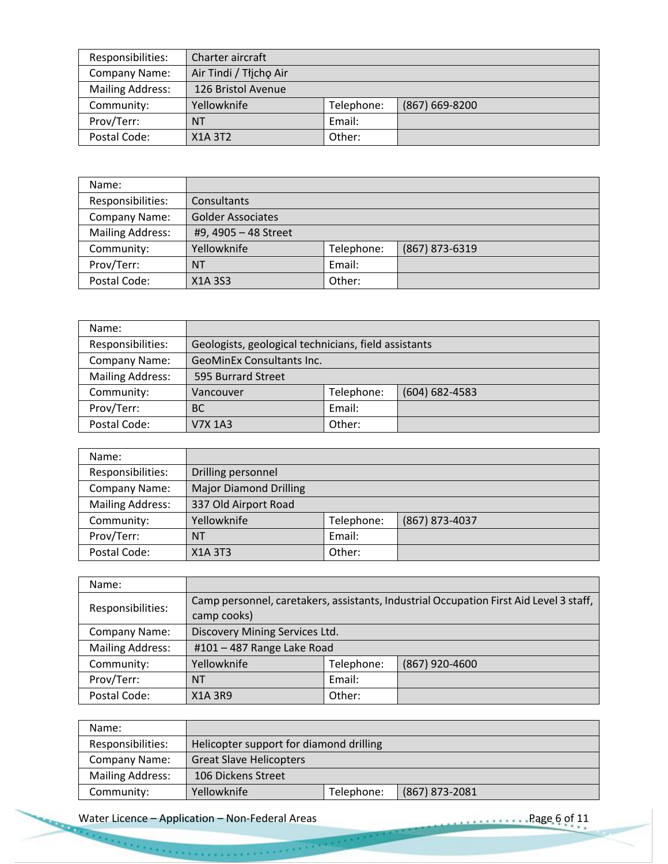| Responsibilities:       | Charter aircraft       |            |                    |
|-------------------------|------------------------|------------|--------------------|
| <b>Company Name:</b>    | Air Tindi / Tłjcho Air |            |                    |
| <b>Mailing Address:</b> | 126 Bristol Avenue     |            |                    |
| Community:              | Yellowknife            | Telephone: | $(867) 669 - 8200$ |
| Prov/Terr:              | NT                     | Email:     |                    |
| Postal Code:            | X1A 3T2                | Other:     |                    |

| Name:                   |                                               |        |  |
|-------------------------|-----------------------------------------------|--------|--|
| Responsibilities:       | Consultants                                   |        |  |
| Company Name:           | <b>Golder Associates</b>                      |        |  |
| <b>Mailing Address:</b> | #9, 4905 - 48 Street                          |        |  |
| Community:              | Yellowknife<br>$(867)$ 873-6319<br>Telephone: |        |  |
| Prov/Terr:              | NT                                            | Email: |  |
| Postal Code:            | X1A 3S3                                       | Other: |  |

| Name:                   |                                                      |        |  |
|-------------------------|------------------------------------------------------|--------|--|
| Responsibilities:       | Geologists, geological technicians, field assistants |        |  |
| Company Name:           | <b>GeoMinEx Consultants Inc.</b>                     |        |  |
| <b>Mailing Address:</b> | 595 Burrard Street                                   |        |  |
| Community:              | $(604) 682 - 4583$<br>Telephone:<br>Vancouver        |        |  |
| Prov/Terr:              | Email:<br><b>BC</b>                                  |        |  |
| Postal Code:            | V7X 1A3                                              | Other: |  |

| Name:                   |                                             |        |  |
|-------------------------|---------------------------------------------|--------|--|
| Responsibilities:       | Drilling personnel                          |        |  |
| Company Name:           | <b>Major Diamond Drilling</b>               |        |  |
| <b>Mailing Address:</b> | 337 Old Airport Road                        |        |  |
| Community:              | Yellowknife<br>Telephone:<br>(867) 873-4037 |        |  |
| Prov/Terr:              | ΝT                                          | Email: |  |
| Postal Code:            | X1A 3T3                                     | Other: |  |

| Name:                   |                                                                                        |            |                |
|-------------------------|----------------------------------------------------------------------------------------|------------|----------------|
| Responsibilities:       | Camp personnel, caretakers, assistants, Industrial Occupation First Aid Level 3 staff, |            |                |
|                         | camp cooks)                                                                            |            |                |
| Company Name:           | Discovery Mining Services Ltd.                                                         |            |                |
| <b>Mailing Address:</b> | #101 - 487 Range Lake Road                                                             |            |                |
| Community:              | Yellowknife                                                                            | Telephone: | (867) 920-4600 |
| Prov/Terr:              | NΤ                                                                                     | Email:     |                |
| Postal Code:            | X1A 3R9                                                                                | Other:     |                |

| Name:                   |                                             |  |  |
|-------------------------|---------------------------------------------|--|--|
| Responsibilities:       | Helicopter support for diamond drilling     |  |  |
| Company Name:           | <b>Great Slave Helicopters</b>              |  |  |
| <b>Mailing Address:</b> | 106 Dickens Street                          |  |  |
| Community:              | Yellowknife<br>(867) 873-2081<br>Telephone: |  |  |

Water Licence – Application – Non-Federal Areas Page 6 of 11

. . . . . . . . .

erician en en la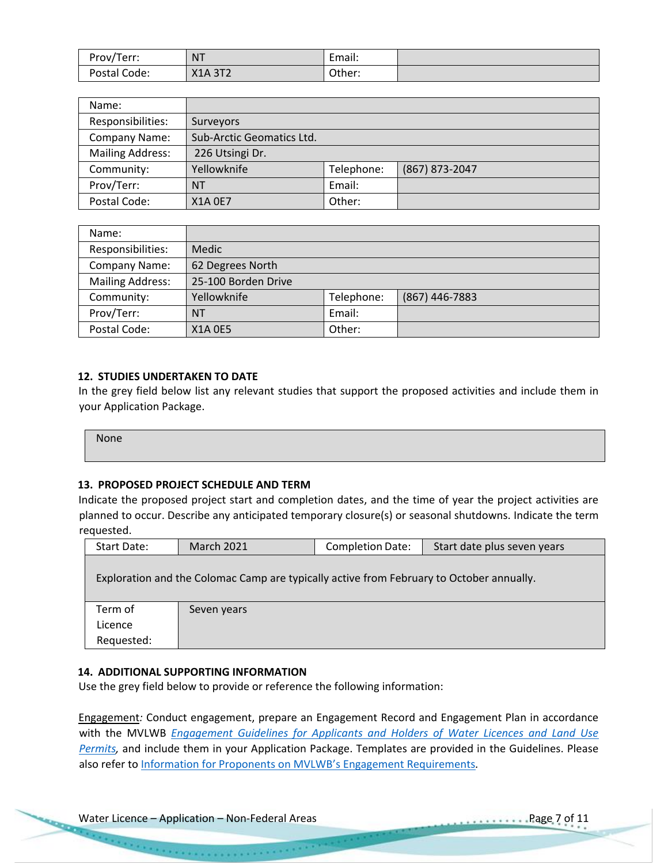| Prov/Terr:   | <b>NT</b>                            | Email: |  |
|--------------|--------------------------------------|--------|--|
| Postal Code: | $\mathcal{L}$<br>X1A 3T <sub>2</sub> | Cther: |  |

| Name:                   |                                             |        |  |
|-------------------------|---------------------------------------------|--------|--|
| Responsibilities:       | Surveyors                                   |        |  |
| <b>Company Name:</b>    | Sub-Arctic Geomatics Ltd.                   |        |  |
| <b>Mailing Address:</b> | 226 Utsingi Dr.                             |        |  |
| Community:              | Yellowknife<br>Telephone:<br>(867) 873-2047 |        |  |
| Prov/Terr:              | NT                                          | Email: |  |
| Postal Code:            | <b>X1A 0E7</b>                              | Other: |  |

| Name:                   |                                             |        |  |
|-------------------------|---------------------------------------------|--------|--|
| Responsibilities:       | <b>Medic</b>                                |        |  |
| Company Name:           | 62 Degrees North                            |        |  |
| <b>Mailing Address:</b> | 25-100 Borden Drive                         |        |  |
| Community:              | Yellowknife<br>(867) 446-7883<br>Telephone: |        |  |
| Prov/Terr:              | ΝT                                          | Email: |  |
| Postal Code:            | <b>X1A 0E5</b>                              | Other: |  |

#### **12. STUDIES UNDERTAKEN TO DATE**

In the grey field below list any relevant studies that support the proposed activities and include them in your Application Package.

None

#### **13. PROPOSED PROJECT SCHEDULE AND TERM**

Indicate the proposed project start and completion dates, and the time of year the project activities are planned to occur. Describe any anticipated temporary closure(s) or seasonal shutdowns. Indicate the term requested.

| Start Date:                                                                              | <b>March 2021</b> | <b>Completion Date:</b> | Start date plus seven years |  |
|------------------------------------------------------------------------------------------|-------------------|-------------------------|-----------------------------|--|
| Exploration and the Colomac Camp are typically active from February to October annually. |                   |                         |                             |  |
| Term of                                                                                  | Seven years       |                         |                             |  |
| Licence                                                                                  |                   |                         |                             |  |
| Requested:                                                                               |                   |                         |                             |  |

#### **14. ADDITIONAL SUPPORTING INFORMATION**

Use the grey field below to provide or reference the following information:

Engagement*:* Conduct engagement, prepare an Engagement Record and Engagement Plan in accordance with the MVLWB *[Engagement Guidelines for Applicants and Holders of Water Licences and Land Use](https://mvlwb.com/sites/default/files/documents/wg/MVLWB%20Engagement%20Guidelines%20for%20Holders%20of%20LUPs%20and%20WLs%20-%20Oct%202014.pdf)  [Permits,](https://mvlwb.com/sites/default/files/documents/wg/MVLWB%20Engagement%20Guidelines%20for%20Holders%20of%20LUPs%20and%20WLs%20-%20Oct%202014.pdf)* and include them in your Application Package. Templates are provided in the Guidelines. Please also refer to [Information for Proponents on MVLWB's Engagement Requirements](https://glwb.com/sites/default/files/documents/MVLWB%20Engagement%20Policy%20-%20Information%20for%20Proponents%20-%20Feb%2018_14.pdf)*.* 

e e divide e e e divid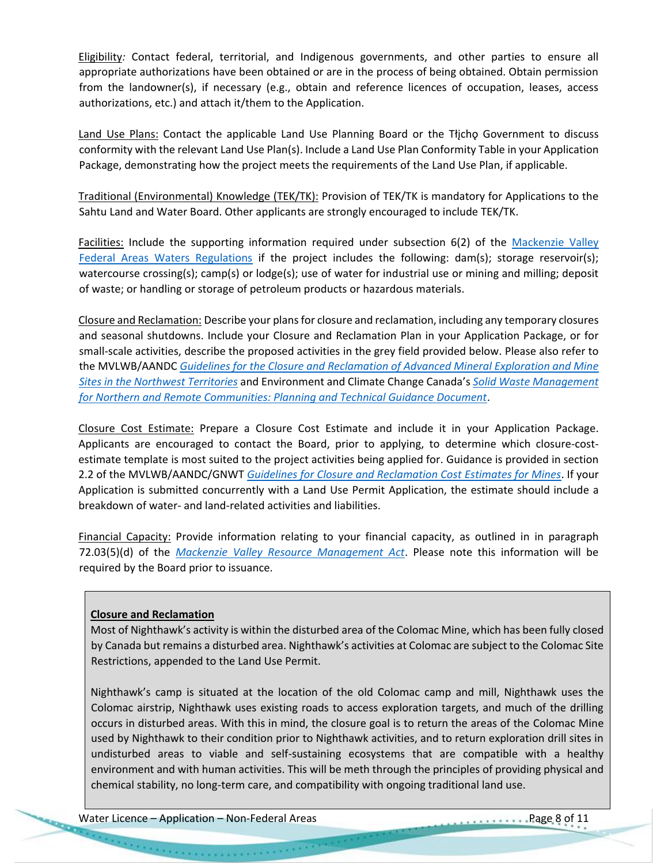Eligibility*:* Contact federal, territorial, and Indigenous governments, and other parties to ensure all appropriate authorizations have been obtained or are in the process of being obtained. Obtain permission from the landowner(s), if necessary (e.g., obtain and reference licences of occupation, leases, access authorizations, etc.) and attach it/them to the Application.

Land Use Plans: Contact the applicable Land Use Planning Board or the Tłicho Government to discuss conformity with the relevant Land Use Plan(s). Include a Land Use Plan Conformity Table in your Application Package, demonstrating how the project meets the requirements of the Land Use Plan, if applicable.

Traditional (Environmental) Knowledge (TEK/TK): Provision of TEK/TK is mandatory for Applications to the Sahtu Land and Water Board. Other applicants are strongly encouraged to include TEK/TK.

Facilities: Include the supporting information required under subsection 6(2) of the [Mackenzie Valley](https://mvlwb.com/sites/default/files/sor-93-303_1_0.pdf)  [Federal Areas Waters Regulations](https://mvlwb.com/sites/default/files/sor-93-303_1_0.pdf) if the project includes the following: dam(s); storage reservoir(s); watercourse crossing(s); camp(s) or lodge(s); use of water for industrial use or mining and milling; deposit of waste; or handling or storage of petroleum products or hazardous materials.

Closure and Reclamation: Describe your plansfor closure and reclamation, including any temporary closures and seasonal shutdowns. Include your Closure and Reclamation Plan in your Application Package, or for small-scale activities, describe the proposed activities in the grey field provided below. Please also refer to the MVLWB/AANDC *[Guidelines for the Closure and Reclamation of Advanced Mineral Exploration and Mine](https://glwb.com/sites/default/files/documents/wg/WLWB_5363_Guidelines_Closure_Reclamation_WR.pdf)  [Sites in the Northwest Territories](https://glwb.com/sites/default/files/documents/wg/WLWB_5363_Guidelines_Closure_Reclamation_WR.pdf)* and Environment and Climate Change Canada's *[Solid Waste Management](https://mvlwb.com/sites/default/files/en14-263-2016-eng.pdf)  [for Northern and Remote Communities: Planning and Technical Guidance Document](https://mvlwb.com/sites/default/files/en14-263-2016-eng.pdf)*.

Closure Cost Estimate: Prepare a Closure Cost Estimate and include it in your Application Package. Applicants are encouraged to contact the Board, prior to applying, to determine which closure-costestimate template is most suited to the project activities being applied for. Guidance is provided in section 2.2 of the MVLWB/AANDC/GNWT *[Guidelines for Closure and Reclamation Cost Estimates for Mines](https://mvlwb.com/sites/default/files/images/Closure%20Cost%20Estimating%20Guidelines_FINAL_Nov%2024%202017.pdf)*. If your Application is submitted concurrently with a Land Use Permit Application, the estimate should include a breakdown of water- and land-related activities and liabilities.

Financial Capacity: Provide information relating to your financial capacity, as outlined in in paragraph 72.03(5)(d) of the *[Mackenzie Valley Resource Management Act](https://mvlwb.com/sites/default/files/m-0.2.pdf)*. Please note this information will be required by the Board prior to issuance.

# **Closure and Reclamation**

Most of Nighthawk's activity is within the disturbed area of the Colomac Mine, which has been fully closed by Canada but remains a disturbed area. Nighthawk's activities at Colomac are subject to the Colomac Site Restrictions, appended to the Land Use Permit.

Nighthawk's camp is situated at the location of the old Colomac camp and mill, Nighthawk uses the Colomac airstrip, Nighthawk uses existing roads to access exploration targets, and much of the drilling occurs in disturbed areas. With this in mind, the closure goal is to return the areas of the Colomac Mine used by Nighthawk to their condition prior to Nighthawk activities, and to return exploration drill sites in undisturbed areas to viable and self-sustaining ecosystems that are compatible with a healthy environment and with human activities. This will be meth through the principles of providing physical and chemical stability, no long-term care, and compatibility with ongoing traditional land use.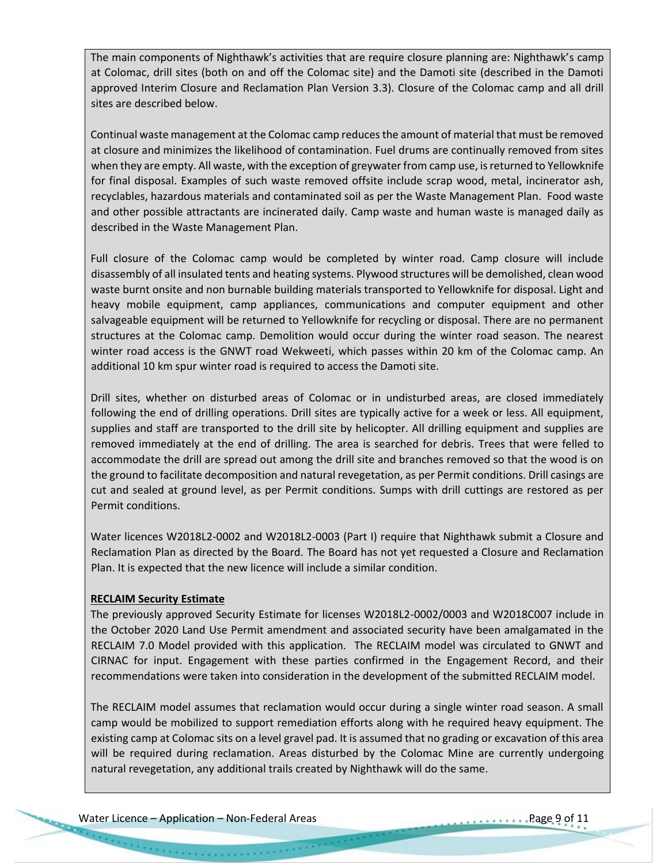The main components of Nighthawk's activities that are require closure planning are: Nighthawk's camp at Colomac, drill sites (both on and off the Colomac site) and the Damoti site (described in the Damoti approved Interim Closure and Reclamation Plan Version 3.3). Closure of the Colomac camp and all drill sites are described below.

Continual waste management at the Colomac camp reduces the amount of material that must be removed at closure and minimizes the likelihood of contamination. Fuel drums are continually removed from sites when they are empty. All waste, with the exception of greywater from camp use, is returned to Yellowknife for final disposal. Examples of such waste removed offsite include scrap wood, metal, incinerator ash, recyclables, hazardous materials and contaminated soil as per the Waste Management Plan. Food waste and other possible attractants are incinerated daily. Camp waste and human waste is managed daily as described in the Waste Management Plan.

Full closure of the Colomac camp would be completed by winter road. Camp closure will include disassembly of all insulated tents and heating systems. Plywood structures will be demolished, clean wood waste burnt onsite and non burnable building materials transported to Yellowknife for disposal. Light and heavy mobile equipment, camp appliances, communications and computer equipment and other salvageable equipment will be returned to Yellowknife for recycling or disposal. There are no permanent structures at the Colomac camp. Demolition would occur during the winter road season. The nearest winter road access is the GNWT road Wekweeti, which passes within 20 km of the Colomac camp. An additional 10 km spur winter road is required to access the Damoti site.

Drill sites, whether on disturbed areas of Colomac or in undisturbed areas, are closed immediately following the end of drilling operations. Drill sites are typically active for a week or less. All equipment, supplies and staff are transported to the drill site by helicopter. All drilling equipment and supplies are removed immediately at the end of drilling. The area is searched for debris. Trees that were felled to accommodate the drill are spread out among the drill site and branches removed so that the wood is on the ground to facilitate decomposition and natural revegetation, as per Permit conditions. Drill casings are cut and sealed at ground level, as per Permit conditions. Sumps with drill cuttings are restored as per Permit conditions.

Water licences W2018L2-0002 and W2018L2-0003 (Part I) require that Nighthawk submit a Closure and Reclamation Plan as directed by the Board. The Board has not yet requested a Closure and Reclamation Plan. It is expected that the new licence will include a similar condition.

# **RECLAIM Security Estimate**

The previously approved Security Estimate for licenses W2018L2-0002/0003 and W2018C007 include in the October 2020 Land Use Permit amendment and associated security have been amalgamated in the RECLAIM 7.0 Model provided with this application. The RECLAIM model was circulated to GNWT and CIRNAC for input. Engagement with these parties confirmed in the Engagement Record, and their recommendations were taken into consideration in the development of the submitted RECLAIM model.

The RECLAIM model assumes that reclamation would occur during a single winter road season. A small camp would be mobilized to support remediation efforts along with he required heavy equipment. The existing camp at Colomac sits on a level gravel pad. It is assumed that no grading or excavation of this area will be required during reclamation. Areas disturbed by the Colomac Mine are currently undergoing natural revegetation, any additional trails created by Nighthawk will do the same.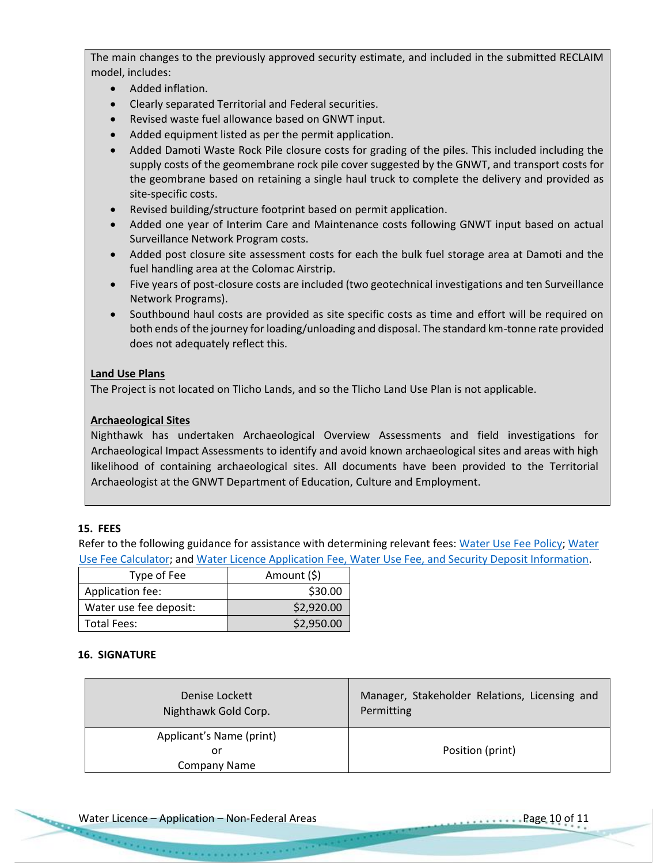The main changes to the previously approved security estimate, and included in the submitted RECLAIM model, includes:

- Added inflation.
- Clearly separated Territorial and Federal securities.
- Revised waste fuel allowance based on GNWT input.
- Added equipment listed as per the permit application.
- Added Damoti Waste Rock Pile closure costs for grading of the piles. This included including the supply costs of the geomembrane rock pile cover suggested by the GNWT, and transport costs for the geombrane based on retaining a single haul truck to complete the delivery and provided as site-specific costs.
- Revised building/structure footprint based on permit application.
- Added one year of Interim Care and Maintenance costs following GNWT input based on actual Surveillance Network Program costs.
- Added post closure site assessment costs for each the bulk fuel storage area at Damoti and the fuel handling area at the Colomac Airstrip.
- Five years of post-closure costs are included (two geotechnical investigations and ten Surveillance Network Programs).
- Southbound haul costs are provided as site specific costs as time and effort will be required on both ends of the journey for loading/unloading and disposal. The standard km-tonne rate provided does not adequately reflect this.

# **Land Use Plans**

The Project is not located on Tlicho Lands, and so the Tlicho Land Use Plan is not applicable.

# **Archaeological Sites**

Nighthawk has undertaken Archaeological Overview Assessments and field investigations for Archaeological Impact Assessments to identify and avoid known archaeological sites and areas with high likelihood of containing archaeological sites. All documents have been provided to the Territorial Archaeologist at the GNWT Department of Education, Culture and Employment.

# **15. FEES**

Refer to the following guidance for assistance with determining relevant fees: [Water Use Fee Policy;](https://mvlwb.com/sites/default/files/mvlwb/documents/Water%20Use%20Fee%20Policy%20-%20Feb%2013-13.pdf) [Water](https://mvlwb.com/mvlwb/apply-permit-licence)  [Use Fee Calculator;](https://mvlwb.com/mvlwb/apply-permit-licence) and [Water Licence Application Fee, Water Use Fee, and Security Deposit Information.](https://glwb.com/sites/default/files/documents/Devo/WL%20Fees%20and%20Security%20Deposits.png)

| Type of Fee            | Amount (\$) |
|------------------------|-------------|
| Application fee:       | \$30.00     |
| Water use fee deposit: | \$2,920.00  |
| <b>Total Fees:</b>     | \$2,950.00  |

# **16. SIGNATURE**

| Denise Lockett<br>Nighthawk Gold Corp. | Manager, Stakeholder Relations, Licensing and<br>Permitting |
|----------------------------------------|-------------------------------------------------------------|
| Applicant's Name (print)               |                                                             |
| or                                     | Position (print)                                            |
| <b>Company Name</b>                    |                                                             |

Water Licence – Application – Non-Federal Areas Page 10 of 11